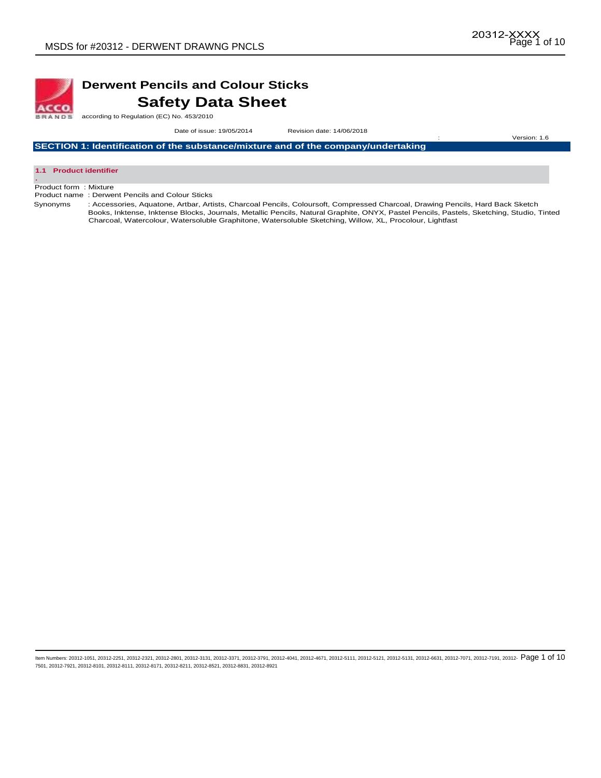

# **Derwent Pencils and Colour Sticks Safety Data Sheet**

according to Regulation (EC) No. 453/2010

Date of issue: 19/05/2014Revision date: 14/06/2018

: Version: 1.6

**SECTION 1: Identification of the substance/mixture and of the company/undertaking** 



Product form : Mixture

Product name : Derwent Pencils and Colour Sticks

Synonyms : Accessories, Aquatone, Artbar, Artists, Charcoal Pencils, Coloursoft, Compressed Charcoal, Drawing Pencils, Hard Back Sketch Books, Inktense, Inktense Blocks, Journals, Metallic Pencils, Natural Graphite, ONYX, Pastel Pencils, Pastels, Sketching, Studio, Tinted Charcoal, Watercolour, Watersoluble Graphitone, Watersoluble Sketching, Willow, XL, Procolour, Lightfast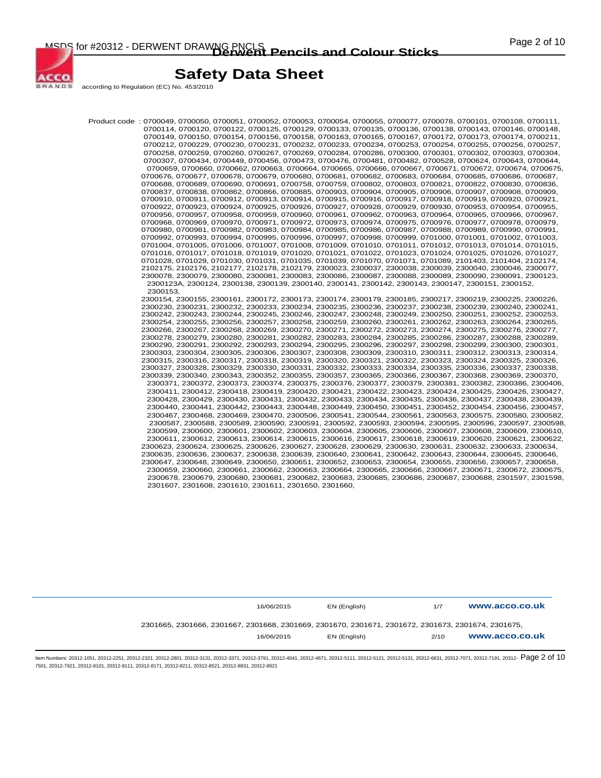

ACCO **BRANDS** 

# **Safety Data Sheet**

according to Regulation (EC) No. 453/2010

Product code : 0700049, 0700050, 0700051, 0700052, 0700053, 0700054, 0700055, 0700077, 0700078, 0700101, 0700108, 0700111, 0700114, 0700120, 0700122, 0700125, 0700129, 0700133, 0700135, 0700136, 0700138, 0700143, 0700146, 0700148, 0700149, 0700150, 0700154, 0700156, 0700158, 0700163, 0700165, 0700167, 0700172, 0700173, 0700174, 0700211, 0700212, 0700229, 0700230, 0700231, 0700232, 0700233, 0700234, 0700253, 0700254, 0700255, 0700256, 0700257, 0700258, 0700259, 0700260, 0700267, 0700269, 0700284, 0700286, 0700300, 0700301, 0700302, 0700303, 0700304, 0700307, 0700434, 0700449, 0700456, 0700473, 0700476, 0700481, 0700482, 0700528, 0700624, 0700643, 0700644, 0700659, 0700660, 0700662, 0700663, 0700664, 0700665, 0700666, 0700667, 0700671, 0700672, 0700674, 0700675, 0700676, 0700677, 0700678, 0700679, 0700680, 0700681, 0700682, 0700683, 0700684, 0700685, 0700686, 0700687, 0700688, 0700689, 0700690, 0700691, 0700758, 0700759, 0700802, 0700803, 0700821, 0700822, 0700830, 0700836, 0700837, 0700838, 0700862, 0700866, 0700885, 0700903, 0700904, 0700905, 0700906, 0700907, 0700908, 0700909, 0700910, 0700911, 0700912, 0700913, 0700914, 0700915, 0700916, 0700917, 0700918, 0700919, 0700920, 0700921, 0700922, 0700923, 0700924, 0700925, 0700926, 0700927, 0700928, 0700929, 0700930, 0700953, 0700954, 0700955, 0700956, 0700957, 0700958, 0700959, 0700960, 0700961, 0700962, 0700963, 0700964, 0700965, 0700966, 0700967, 0700968, 0700969, 0700970, 0700971, 0700972, 0700973, 0700974, 0700975, 0700976, 0700977, 0700978, 0700979, 0700980, 0700981, 0700982, 0700983, 0700984, 0700985, 0700986, 0700987, 0700988, 0700989, 0700990, 0700991, 0700992, 0700993, 0700994, 0700995, 0700996, 0700997, 0700998, 0700999, 0701000, 0701001, 0701002, 0701003, 0701004, 0701005, 0701006, 0701007, 0701008, 0701009, 0701010, 0701011, 0701012, 0701013, 0701014, 0701015, 0701016, 0701017, 0701018, 0701019, 0701020, 0701021, 0701022, 0701023, 0701024, 0701025, 0701026, 0701027, 0701028, 0701029, 0701030, 0701031, 0701035, 0701039, 0701070, 0701071, 0701089, 2101403, 2101404, 2102174, 2102175, 2102176, 2102177, 2102178, 2102179, 2300023, 2300037, 2300038, 2300039, 2300040, 2300046, 2300077, 2300078, 2300079, 2300080, 2300081, 2300083, 2300086, 2300087, 2300088, 2300089, 2300090, 2300091, 2300123, 2300123A, 2300124, 2300138, 2300139, 2300140, 2300141, 2300142, 2300143, 2300147, 2300151, 2300152, 2300153, 2300154, 2300155, 2300161, 2300172, 2300173, 2300174, 2300179, 2300185, 2300217, 2300219, 2300225, 2300226, 2300230, 2300231, 2300232, 2300233, 2300234, 2300235, 2300236, 2300237, 2300238, 2300239, 2300240, 2300241, 2300242, 2300243, 2300244, 2300245, 2300246, 2300247, 2300248, 2300249, 2300250, 2300251, 2300252, 2300253, 2300254, 2300255, 2300256, 2300257, 2300258, 2300259, 2300260, 2300261, 2300262, 2300263, 2300264, 2300265, 2300266, 2300267, 2300268, 2300269, 2300270, 2300271, 2300272, 2300273, 2300274, 2300275, 2300276, 2300277, 2300278, 2300279, 2300280, 2300281, 2300282, 2300283, 2300284, 2300285, 2300286, 2300287, 2300288, 2300289, 2300290, 2300291, 2300292, 2300293, 2300294, 2300295, 2300296, 2300297, 2300298, 2300299, 2300300, 2300301, 2300303, 2300304, 2300305, 2300306, 2300307, 2300308, 2300309, 2300310, 2300311, 2300312, 2300313, 2300314, 2300315, 2300316, 2300317, 2300318, 2300319, 2300320, 2300321, 2300322, 2300323, 2300324, 2300325, 2300326, 2300327, 2300328, 2300329, 2300330, 2300331, 2300332, 2300333, 2300334, 2300335, 2300336, 2300337, 2300338, 2300339, 2300340, 2300343, 2300352, 2300355, 2300357, 2300365, 2300366, 2300367, 2300368, 2300369, 2300370, 2300371, 2300372, 2300373, 2300374, 2300375, 2300376, 2300377, 2300379, 2300381, 2300382, 2300386, 2300406, 2300411, 2300412, 2300418, 2300419, 2300420, 2300421, 2300422, 2300423, 2300424, 2300425, 2300426, 2300427, 2300428, 2300429, 2300430, 2300431, 2300432, 2300433, 2300434, 2300435, 2300436, 2300437, 2300438, 2300439, 2300440, 2300441, 2300442, 2300443, 2300448, 2300449, 2300450, 2300451, 2300452, 2300454, 2300456, 2300457, 2300467, 2300468, 2300469, 2300470, 2300506, 2300541, 2300544, 2300561, 2300563, 2300575, 2300580, 2300582, 2300587, 2300588, 2300589, 2300590, 2300591, 2300592, 2300593, 2300594, 2300595, 2300596, 2300597, 2300598, 2300599, 2300600, 2300601, 2300602, 2300603, 2300604, 2300605, 2300606, 2300607, 2300608, 2300609, 2300610, 2300611, 2300612, 2300613, 2300614, 2300615, 2300616, 2300617, 2300618, 2300619, 2300620, 2300621, 2300622, 2300623, 2300624, 2300625, 2300626, 2300627, 2300628, 2300629, 2300630, 2300631, 2300632, 2300633, 2300634, 2300635, 2300636, 2300637, 2300638, 2300639, 2300640, 2300641, 2300642, 2300643, 2300644, 2300645, 2300646, 2300647, 2300648, 2300649, 2300650, 2300651, 2300652, 2300653, 2300654, 2300655, 2300656, 2300657, 2300658, 2300659, 2300660, 2300661, 2300662, 2300663, 2300664, 2300665, 2300666, 2300667, 2300671, 2300672, 2300675, 2300678, 2300679, 2300680, 2300681, 2300682, 2300683, 2300685, 2300686, 2300687, 2300688, 2301597, 2301598, 2301607, 2301608, 2301610, 2301611, 2301650, 2301660,

| 16/06/2015                                                                                         | EN (English) | 1/7 | www.acco.co.uk |
|----------------------------------------------------------------------------------------------------|--------------|-----|----------------|
| 2301665, 2301666, 2301667, 2301668, 2301669, 2301670, 2301671, 2301672, 2301673, 2301674, 2301675, |              |     |                |
|                                                                                                    |              |     |                |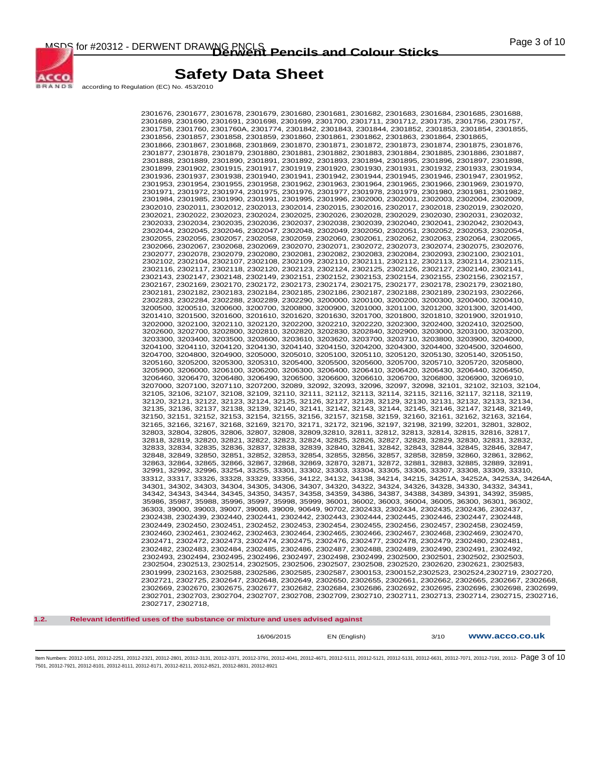

according to Regulation (EC) No. 453/2010

ACCO **BRANDS** 

> 2301676, 2301677, 2301678, 2301679, 2301680, 2301681, 2301682, 2301683, 2301684, 2301685, 2301688, 2301689, 2301690, 2301691, 2301698, 2301699, 2301700, 2301711, 2301712, 2301735, 2301756, 2301757, 2301758, 2301760, 2301760A, 2301774, 2301842, 2301843, 2301844, 2301852, 2301853, 2301854, 2301855, 2301856, 2301857, 2301858, 2301859, 2301860, 2301861, 2301862, 2301863, 2301864, 2301865, 2301866, 2301867, 2301868, 2301869, 2301870, 2301871, 2301872, 2301873, 2301874, 2301875, 2301876, 2301877, 2301878, 2301879, 2301880, 2301881, 2301882, 2301883, 2301884, 2301885, 2301886, 2301887, 2301888, 2301889, 2301890, 2301891, 2301892, 2301893, 2301894, 2301895, 2301896, 2301897, 2301898, 2301899, 2301902, 2301915, 2301917, 2301919, 2301920, 2301930, 2301931, 2301932, 2301933, 2301934, 2301936, 2301937, 2301938, 2301940, 2301941, 2301942, 2301944, 2301945, 2301946, 2301947, 2301952, 2301953, 2301954, 2301955, 2301958, 2301962, 2301963, 2301964, 2301965, 2301966, 2301969, 2301970, 2301971, 2301972, 2301974, 2301975, 2301976, 2301977, 2301978, 2301979, 2301980, 2301981, 2301982, 2301984, 2301985, 2301990, 2301991, 2301995, 2301996, 2302000, 2302001, 2302003, 2302004, 2302009, 2302010, 2302011, 2302012, 2302013, 2302014, 2302015, 2302016, 2302017, 2302018, 2302019, 2302020, 2302021, 2302022, 2302023, 2302024, 2302025, 2302026, 2302028, 2302029, 2302030, 2302031, 2302032, 2302033, 2302034, 2302035, 2302036, 2302037, 2302038, 2302039, 2302040, 2302041, 2302042, 2302043, 2302044, 2302045, 2302046, 2302047, 2302048, 2302049, 2302050, 2302051, 2302052, 2302053, 2302054, 2302055, 2302056, 2302057, 2302058, 2302059, 2302060, 2302061, 2302062, 2302063, 2302064, 2302065, 2302066, 2302067, 2302068, 2302069, 2302070, 2302071, 2302072, 2302073, 2302074, 2302075, 2302076, 2302077, 2302078, 2302079, 2302080, 2302081, 2302082, 2302083, 2302084, 2302093, 2302100, 2302101, 2302102, 2302104, 2302107, 2302108, 2302109, 2302110, 2302111, 2302112, 2302113, 2302114, 2302115, 2302116, 2302117, 2302118, 2302120, 2302123, 2302124, 2302125, 2302126, 2302127, 2302140, 2302141, 2302143, 2302147, 2302148, 2302149, 2302151, 2302152, 2302153, 2302154, 2302155, 2302156, 2302157, 2302167, 2302169, 2302170, 2302172, 2302173, 2302174, 2302175, 2302177, 2302178, 2302179, 2302180, 2302181, 2302182, 2302183, 2302184, 2302185, 2302186, 2302187, 2302188, 2302189, 2302193, 2302266, 2302283, 2302284, 2302288, 2302289, 2302290, 3200000, 3200100, 3200200, 3200300, 3200400, 3200410, 3200500, 3200510, 3200600, 3200700, 3200800, 3200900, 3201000, 3201100, 3201200, 3201300, 3201400, 3201410, 3201500, 3201600, 3201610, 3201620, 3201630, 3201700, 3201800, 3201810, 3201900, 3201910, 3202000, 3202100, 3202110, 3202120, 3202200, 3202210, 3202220, 3202300, 3202400, 3202410, 3202500, 3202600, 3202700, 3202800, 3202810, 3202820, 3202830, 3202840, 3202900, 3203000, 3203100, 3203200, 3203300, 3203400, 3203500, 3203600, 3203610, 3203620, 3203700, 3203710, 3203800, 3203900, 3204000, 3204100, 3204110, 3204120, 3204130, 3204140, 3204150, 3204200, 3204300, 3204400, 3204500, 3204600, 3204700, 3204800, 3204900, 3205000, 3205010, 3205100, 3205110, 3205120, 3205130, 3205140, 3205150, 3205160, 3205200, 3205300, 3205310, 3205400, 3205500, 3205600, 3205700, 3205710, 3205720, 3205800, 3205900, 3206000, 3206100, 3206200, 3206300, 3206400, 3206410, 3206420, 3206430, 3206440, 3206450, 3206460, 3206470, 3206480, 3206490, 3206500, 3206600, 3206610, 3206700, 3206800, 3206900, 3206910, 3207000, 3207100, 3207110, 3207200, 32089, 32092, 32093, 32096, 32097, 32098, 32101, 32102, 32103, 32104, 32105, 32106, 32107, 32108, 32109, 32110, 32111, 32112, 32113, 32114, 32115, 32116, 32117, 32118, 32119, 32120, 32121, 32122, 32123, 32124, 32125, 32126, 32127, 32128, 32129, 32130, 32131, 32132, 32133, 32134, 32135, 32136, 32137, 32138, 32139, 32140, 32141, 32142, 32143, 32144, 32145, 32146, 32147, 32148, 32149, 32150, 32151, 32152, 32153, 32154, 32155, 32156, 32157, 32158, 32159, 32160, 32161, 32162, 32163, 32164, 32165, 32166, 32167, 32168, 32169, 32170, 32171, 32172, 32196, 32197, 32198, 32199, 32201, 32801, 32802, 32803, 32804, 32805, 32806, 32807, 32808, 32809,32810, 32811, 32812, 32813, 32814, 32815, 32816, 32817, 32818, 32819, 32820, 32821, 32822, 32823, 32824, 32825, 32826, 32827, 32828, 32829, 32830, 32831, 32832, 32833, 32834, 32835, 32836, 32837, 32838, 32839, 32840, 32841, 32842, 32843, 32844, 32845, 32846, 32847, 32848, 32849, 32850, 32851, 32852, 32853, 32854, 32855, 32856, 32857, 32858, 32859, 32860, 32861, 32862, 32863, 32864, 32865, 32866, 32867, 32868, 32869, 32870, 32871, 32872, 32881, 32883, 32885, 32889, 32891, 32991, 32992, 32996, 33254, 33255, 33301, 33302, 33303, 33304, 33305, 33306, 33307, 33308, 33309, 33310, 33312, 33317, 33326, 33328, 33329, 33356, 34122, 34132, 34138, 34214, 34215, 34251A, 34252A, 34253A, 34264A, 34301, 34302, 34303, 34304, 34305, 34306, 34307, 34320, 34322, 34324, 34326, 34328, 34330, 34332, 34341, 34342, 34343, 34344, 34345, 34350, 34357, 34358, 34359, 34386, 34387, 34388, 34389, 34391, 34392, 35985, 35986, 35987, 35988, 35996, 35997, 35998, 35999, 36001, 36002, 36003, 36004, 36005, 36300, 36301, 36302, 36303, 39000, 39003, 39007, 39008, 39009, 90649, 90702, 2302433, 2302434, 2302435, 2302436, 2302437, 2302438, 2302439, 2302440, 2302441, 2302442, 2302443, 2302444, 2302445, 2302446, 2302447, 2302448, 2302449, 2302450, 2302451, 2302452, 2302453, 2302454, 2302455, 2302456, 2302457, 2302458, 2302459, 2302460, 2302461, 2302462, 2302463, 2302464, 2302465, 2302466, 2302467, 2302468, 2302469, 2302470, 2302471, 2302472, 2302473, 2302474, 2302475, 2302476, 2302477, 2302478, 2302479, 2302480, 2302481, 2302482, 2302483, 2302484, 2302485, 2302486, 2302487, 2302488, 2302489, 2302490, 2302491, 2302492, 2302493, 2302494, 2302495, 2302496, 2302497, 2302498, 2302499, 2302500, 2302501, 2302502, 2302503, 2302504, 2302513, 2302514, 2302505, 2302506, 2302507, 2302508, 2302520, 2302620, 2302621, 2302583, 2301999, 2302163, 2302588, 2302586, 2302585, 2302587, 2300153, 2300152,2302523, 2302524,2302719, 2302720, 2302721, 2302725, 2302647, 2302648, 2302649, 2302650, 2302655, 2302661, 2302662, 2302665, 2302667, 2302668, 2302669, 2302670, 2302675, 2302677, 2302682, 2302684, 2302686, 2302692, 2302695, 2302696, 2302698, 2302699, 2302701, 2302703, 2302704, 2302707, 2302708, 2302709, 2302710, 2302711, 2302713, 2302714, 2302715, 2302716, 2302717, 2302718,

**1.2. Relevant identified uses of the substance or mixture and uses advised against** 

16/06/2015 EN (English) 3/10 **www.acco.co.uk**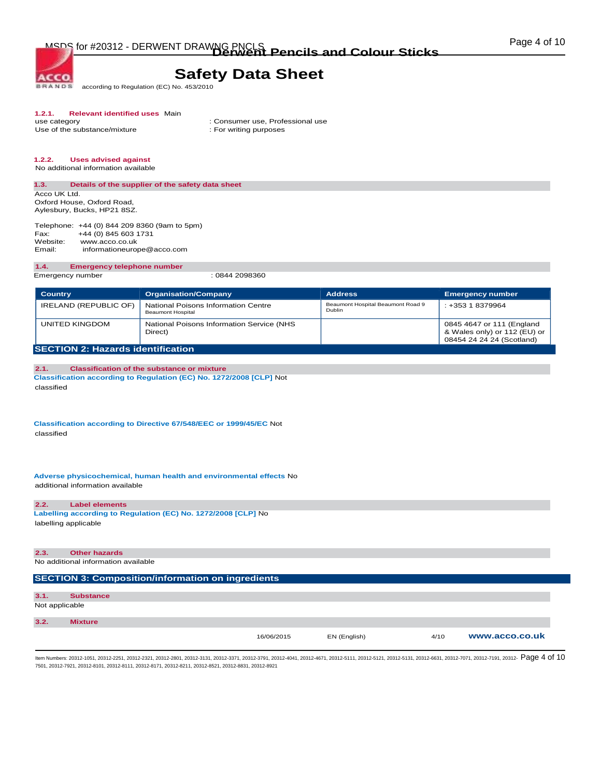MSDS for #20312 - DERWENT DRAWNG PNCLS<br> **Derwent Pencils and Colour Sticks Colour Mathematic Pencils and Colour Sticks** 

# **Safety Data Sheet**

according to Regulation (EC) No. 453/2010 **BRANDS** 

# **1.2.1. Relevant identified uses** Main

Use of the substance/mixture

**ACCO** 

: Consumer use, Professional use : For writing purposes

# **1.2.2. Uses advised against**

No additional information available

## **1.3. Details of the supplier of the safety data sheet**  Acco UK Ltd.

Oxford House, Oxford Road, Aylesbury, Bucks, HP21 8SZ.

Telephone: +44 (0) 844 209 8360 (9am to 5pm)<br>Fax: +44 (0) 845 603 1731 Fax: +44 (0) 845 603 1731<br>Website: www.acco.co.uk Website: www.acco.co.uk<br>Email: informationeuror informationeurope@acco.com

#### **1.4. Emergency telephone number**

Emergency number : 0844 2098360

| <b>Country</b>                           | <b>Organisation/Company</b>                                     | <b>Address</b>                              | <b>Emergency number</b>                                                                |
|------------------------------------------|-----------------------------------------------------------------|---------------------------------------------|----------------------------------------------------------------------------------------|
| IRELAND (REPUBLIC OF)                    | National Poisons Information Centre<br><b>Beaumont Hospital</b> | Beaumont Hospital Beaumont Road 9<br>Dublin | : +353 1 8379964                                                                       |
| UNITED KINGDOM                           | National Poisons Information Service (NHS<br>Direct)            |                                             | 0845 4647 or 111 (England<br>& Wales only) or 112 (EU) or<br>08454 24 24 24 (Scotland) |
| <b>SECTION 2: Hazards identification</b> |                                                                 |                                             |                                                                                        |

### **2.1. Classification of the substance or mixture Classification according to Regulation (EC) No. 1272/2008 [CLP]** Not classified

**Classification according to Directive 67/548/EEC or 1999/45/EC** Not classified

**Adverse physicochemical, human health and environmental effects** No additional information available

### **2.2. Label elements**

**Labelling according to Regulation (EC) No. 1272/2008 [CLP]** No labelling applicable

| 2.3.           | <b>Other hazards</b>                                     |            |              |      |                |
|----------------|----------------------------------------------------------|------------|--------------|------|----------------|
|                | No additional information available                      |            |              |      |                |
|                |                                                          |            |              |      |                |
|                | <b>SECTION 3: Composition/information on ingredients</b> |            |              |      |                |
|                |                                                          |            |              |      |                |
| 3.1.           | <b>Substance</b>                                         |            |              |      |                |
| Not applicable |                                                          |            |              |      |                |
|                |                                                          |            |              |      |                |
| 3.2.           | <b>Mixture</b>                                           |            |              |      |                |
|                |                                                          | 16/06/2015 | EN (English) | 4/10 | www.acco.co.uk |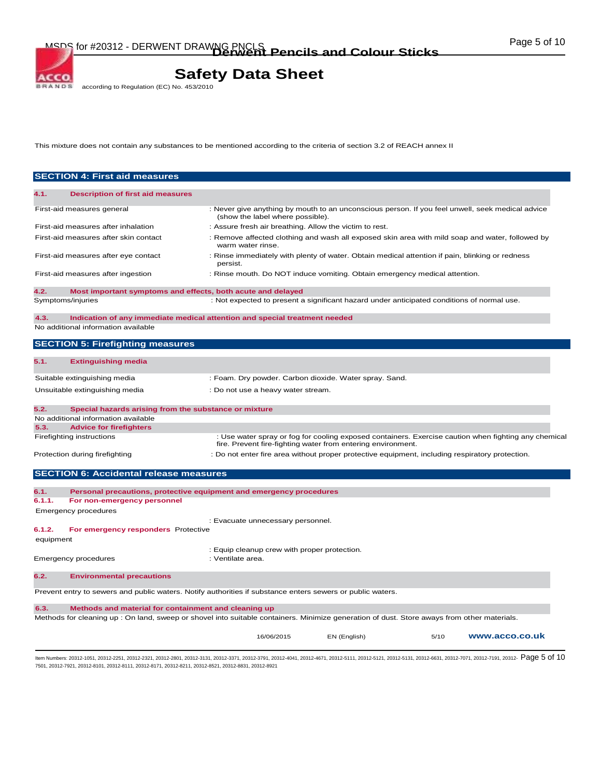MSDS for #20312 - DERWENT DRAWNG PNCLS<br> **Derwent Pencils and Colour Sticks Colour Mathematic Pencils and Colour Sticks** 

# **Safety Data Sheet**<br>according to Regulation (EC) No. 453/2010

This mixture does not contain any substances to be mentioned according to the criteria of section 3.2 of REACH annex II

| <b>SECTION 4: First aid measures</b>     |                                                                                                                                                                                                                                |                                                                                             |                                                                                                 |      |                                                                                                      |
|------------------------------------------|--------------------------------------------------------------------------------------------------------------------------------------------------------------------------------------------------------------------------------|---------------------------------------------------------------------------------------------|-------------------------------------------------------------------------------------------------|------|------------------------------------------------------------------------------------------------------|
| 4.1.                                     | <b>Description of first aid measures</b>                                                                                                                                                                                       |                                                                                             |                                                                                                 |      |                                                                                                      |
| First-aid measures general               |                                                                                                                                                                                                                                |                                                                                             |                                                                                                 |      | : Never give anything by mouth to an unconscious person. If you feel unwell, seek medical advice     |
| First-aid measures after inhalation      |                                                                                                                                                                                                                                | (show the label where possible).<br>: Assure fresh air breathing. Allow the victim to rest. |                                                                                                 |      |                                                                                                      |
| First-aid measures after skin contact    |                                                                                                                                                                                                                                | warm water rinse.                                                                           |                                                                                                 |      | : Remove affected clothing and wash all exposed skin area with mild soap and water, followed by      |
| First-aid measures after eye contact     | persist.                                                                                                                                                                                                                       |                                                                                             | : Rinse immediately with plenty of water. Obtain medical attention if pain, blinking or redness |      |                                                                                                      |
| First-aid measures after ingestion       |                                                                                                                                                                                                                                |                                                                                             | : Rinse mouth. Do NOT induce vomiting. Obtain emergency medical attention.                      |      |                                                                                                      |
| 4.2.                                     | Most important symptoms and effects, both acute and delayed                                                                                                                                                                    |                                                                                             |                                                                                                 |      |                                                                                                      |
| Symptoms/injuries                        |                                                                                                                                                                                                                                |                                                                                             | : Not expected to present a significant hazard under anticipated conditions of normal use.      |      |                                                                                                      |
| 4.3.                                     | Indication of any immediate medical attention and special treatment needed                                                                                                                                                     |                                                                                             |                                                                                                 |      |                                                                                                      |
| No additional information available      |                                                                                                                                                                                                                                |                                                                                             |                                                                                                 |      |                                                                                                      |
| <b>SECTION 5: Firefighting measures</b>  |                                                                                                                                                                                                                                |                                                                                             |                                                                                                 |      |                                                                                                      |
| 5.1.<br><b>Extinguishing media</b>       |                                                                                                                                                                                                                                |                                                                                             |                                                                                                 |      |                                                                                                      |
| Suitable extinguishing media             |                                                                                                                                                                                                                                |                                                                                             | : Foam. Dry powder. Carbon dioxide. Water spray. Sand.                                          |      |                                                                                                      |
| Unsuitable extinguishing media           |                                                                                                                                                                                                                                | : Do not use a heavy water stream.                                                          |                                                                                                 |      |                                                                                                      |
| 5.2.                                     | Special hazards arising from the substance or mixture                                                                                                                                                                          |                                                                                             |                                                                                                 |      |                                                                                                      |
| No additional information available      |                                                                                                                                                                                                                                |                                                                                             |                                                                                                 |      |                                                                                                      |
| <b>Advice for firefighters</b><br>5.3.   |                                                                                                                                                                                                                                |                                                                                             |                                                                                                 |      |                                                                                                      |
| Firefighting instructions                |                                                                                                                                                                                                                                |                                                                                             | fire. Prevent fire-fighting water from entering environment.                                    |      | : Use water spray or fog for cooling exposed containers. Exercise caution when fighting any chemical |
| Protection during firefighting           |                                                                                                                                                                                                                                |                                                                                             | : Do not enter fire area without proper protective equipment, including respiratory protection. |      |                                                                                                      |
|                                          | <b>SECTION 6: Accidental release measures</b>                                                                                                                                                                                  |                                                                                             |                                                                                                 |      |                                                                                                      |
| 6.1.                                     | Personal precautions, protective equipment and emergency procedures                                                                                                                                                            |                                                                                             |                                                                                                 |      |                                                                                                      |
| For non-emergency personnel<br>6.1.1.    |                                                                                                                                                                                                                                |                                                                                             |                                                                                                 |      |                                                                                                      |
| <b>Emergency procedures</b>              |                                                                                                                                                                                                                                |                                                                                             |                                                                                                 |      |                                                                                                      |
|                                          |                                                                                                                                                                                                                                | : Evacuate unnecessary personnel.                                                           |                                                                                                 |      |                                                                                                      |
| 6.1.2.                                   | For emergency responders Protective                                                                                                                                                                                            |                                                                                             |                                                                                                 |      |                                                                                                      |
| equipment                                |                                                                                                                                                                                                                                |                                                                                             |                                                                                                 |      |                                                                                                      |
| Emergency procedures                     |                                                                                                                                                                                                                                | : Equip cleanup crew with proper protection.<br>: Ventilate area.                           |                                                                                                 |      |                                                                                                      |
| 6.2.<br><b>Environmental precautions</b> |                                                                                                                                                                                                                                |                                                                                             |                                                                                                 |      |                                                                                                      |
|                                          | Prevent entry to sewers and public waters. Notify authorities if substance enters sewers or public waters.                                                                                                                     |                                                                                             |                                                                                                 |      |                                                                                                      |
| 6.3.                                     | Methods and material for containment and cleaning up                                                                                                                                                                           |                                                                                             |                                                                                                 |      |                                                                                                      |
|                                          | Methods for cleaning up : On land, sweep or shovel into suitable containers. Minimize generation of dust. Store aways from other materials.                                                                                    |                                                                                             |                                                                                                 |      |                                                                                                      |
|                                          |                                                                                                                                                                                                                                | 16/06/2015                                                                                  | EN (English)                                                                                    | 5/10 | www.acco.co.uk                                                                                       |
|                                          | ltem Numbers: 20312-1051, 20312-2251, 20312-2321, 20312-2801, 20312-3131, 20312-3371, 20312-3371, 20312-4041, 20312-4671, 20312-5111, 20312-5131, 20312-6131, 20312-6631, 20312-7071, 20312-7071, 20312-7071, 20312-7071, 2031 |                                                                                             |                                                                                                 |      |                                                                                                      |

7501, 20312-7921, 20312-8101, 20312-8111, 20312-8171, 20312-8211, 20312-8521, 20312-8831, 20312-8921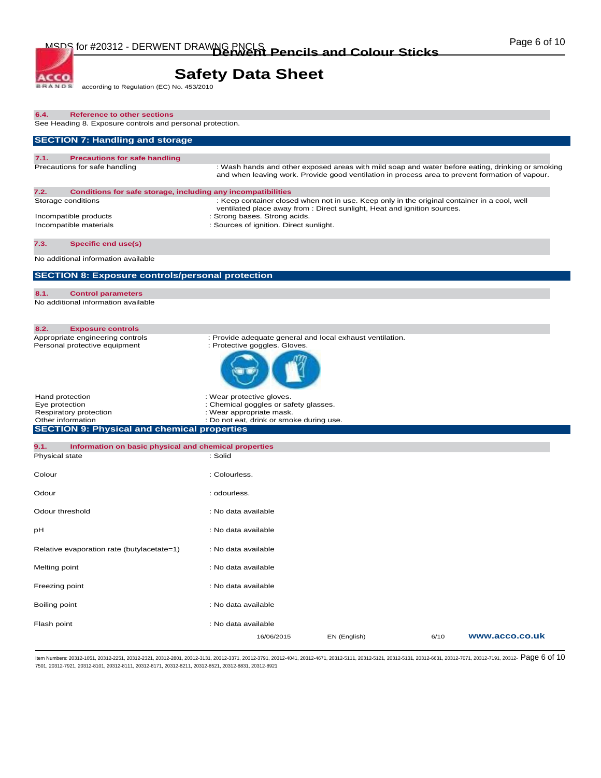# **Safety Data Sheet**<br>according to Regulation (EC) No. 453/2010

**BRANDS** 

ACCO.

| <b>Reference to other sections</b><br>6.4.<br>See Heading 8. Exposure controls and personal protection.                                |                                                                                                                                                                                                     |
|----------------------------------------------------------------------------------------------------------------------------------------|-----------------------------------------------------------------------------------------------------------------------------------------------------------------------------------------------------|
| <b>SECTION 7: Handling and storage</b>                                                                                                 |                                                                                                                                                                                                     |
| 7.1.<br><b>Precautions for safe handling</b>                                                                                           |                                                                                                                                                                                                     |
| Precautions for safe handling                                                                                                          | : Wash hands and other exposed areas with mild soap and water before eating, drinking or smoking<br>and when leaving work. Provide good ventilation in process area to prevent formation of vapour. |
| 7.2.<br>Conditions for safe storage, including any incompatibilities                                                                   |                                                                                                                                                                                                     |
| Storage conditions                                                                                                                     | : Keep container closed when not in use. Keep only in the original container in a cool, well<br>ventilated place away from : Direct sunlight, Heat and ignition sources.                            |
| Incompatible products<br>Incompatible materials                                                                                        | : Strong bases. Strong acids.<br>: Sources of ignition. Direct sunlight.                                                                                                                            |
| 7.3.<br>Specific end use(s)                                                                                                            |                                                                                                                                                                                                     |
| No additional information available                                                                                                    |                                                                                                                                                                                                     |
| <b>SECTION 8: Exposure controls/personal protection</b>                                                                                |                                                                                                                                                                                                     |
| 8.1.<br><b>Control parameters</b><br>No additional information available                                                               |                                                                                                                                                                                                     |
| 8.2.<br><b>Exposure controls</b>                                                                                                       |                                                                                                                                                                                                     |
| Appropriate engineering controls<br>Personal protective equipment                                                                      | : Provide adequate general and local exhaust ventilation.<br>: Protective goggles. Gloves.                                                                                                          |
|                                                                                                                                        |                                                                                                                                                                                                     |
| Hand protection<br>Eye protection<br>Respiratory protection<br>Other information<br><b>SECTION 9: Physical and chemical properties</b> | : Wear protective gloves.<br>: Chemical goggles or safety glasses.<br>: Wear appropriate mask.<br>: Do not eat, drink or smoke during use.                                                          |
| 9.1.<br>Information on basic physical and chemical properties<br>Physical state                                                        | : Solid                                                                                                                                                                                             |
|                                                                                                                                        |                                                                                                                                                                                                     |
| Colour                                                                                                                                 | : Colourless.                                                                                                                                                                                       |
| Odour                                                                                                                                  | : odourless.                                                                                                                                                                                        |
| Odour threshold                                                                                                                        | : No data available                                                                                                                                                                                 |
| рH                                                                                                                                     | : No data available                                                                                                                                                                                 |
| Relative evaporation rate (butylacetate=1)                                                                                             | : No data available                                                                                                                                                                                 |
| Melting point                                                                                                                          | : No data available                                                                                                                                                                                 |
| Freezing point                                                                                                                         | : No data available                                                                                                                                                                                 |
| Boiling point                                                                                                                          | : No data available                                                                                                                                                                                 |
| Flash point                                                                                                                            | : No data available<br>6/10<br>www.acco.co.uk<br>16/06/2015<br>EN (English)                                                                                                                         |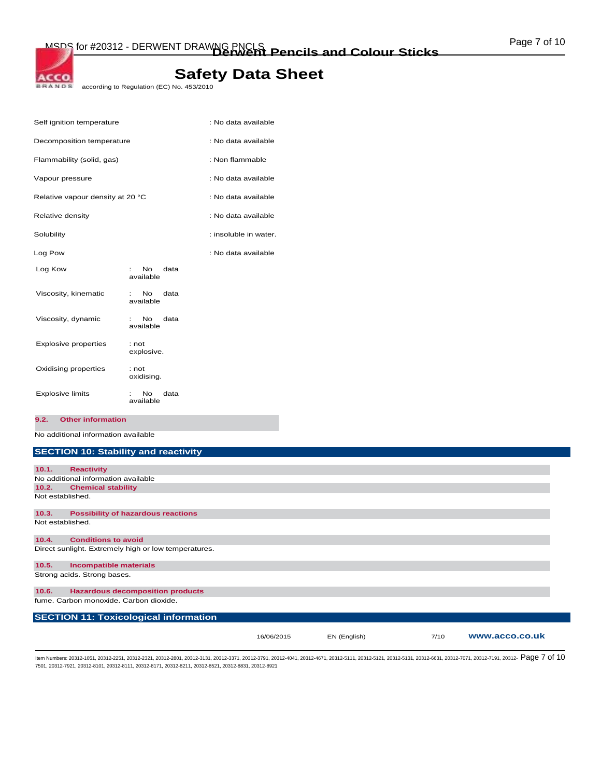# **Safety Data Sheet**

**BRANDE** according to Regulation (EC) No. 453/2010

|                                     | : No data available   |
|-------------------------------------|-----------------------|
| Decomposition temperature           | : No data available   |
|                                     | : Non flammable       |
|                                     | : No data available   |
| Relative vapour density at 20 °C    | : No data available   |
|                                     | : No data available   |
|                                     | : insoluble in water. |
|                                     | : No data available   |
| <b>No</b><br>data<br>available      |                       |
| No.<br>data<br>÷<br>available       |                       |
| No.<br>data<br>available            |                       |
| : not<br>explosive.                 |                       |
| : not<br>oxidising.                 |                       |
| N <sub>o</sub><br>data<br>available |                       |
|                                     |                       |

**9.2. Other information** 

ACCO.

No additional information available

# **SECTION 10: Stability and reactivity**

| 10.1. | <b>Reactivity</b>                                    |            |              |      |                |
|-------|------------------------------------------------------|------------|--------------|------|----------------|
|       | No additional information available                  |            |              |      |                |
| 10.2. | <b>Chemical stability</b>                            |            |              |      |                |
|       | Not established.                                     |            |              |      |                |
| 10.3. | <b>Possibility of hazardous reactions</b>            |            |              |      |                |
|       | Not established.                                     |            |              |      |                |
| 10.4. | <b>Conditions to avoid</b>                           |            |              |      |                |
|       | Direct sunlight. Extremely high or low temperatures. |            |              |      |                |
| 10.5. | <b>Incompatible materials</b>                        |            |              |      |                |
|       | Strong acids. Strong bases.                          |            |              |      |                |
| 10.6. | <b>Hazardous decomposition products</b>              |            |              |      |                |
|       | fume. Carbon monoxide. Carbon dioxide.               |            |              |      |                |
|       | <b>SECTION 11: Toxicological information</b>         |            |              |      |                |
|       |                                                      | 16/06/2015 | EN (English) | 7/10 | www.acco.co.uk |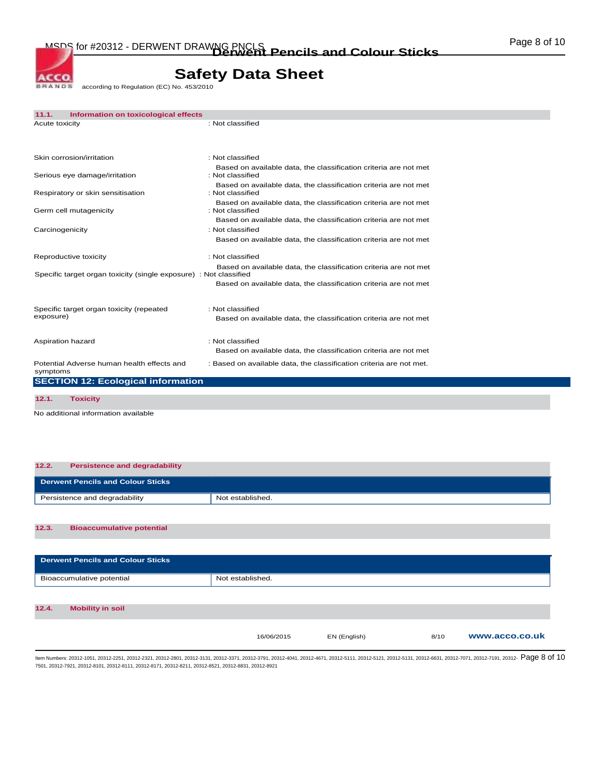MSDS for #20312 - DERWENT DRAWNG PNCLS<br> **Derwent Pencils and Colour Sticks Colour Mathematic Pencils and Colour Sticks** 

1

# **Safety Data Sheet**<br>according to Regulation (EC) No. 453/2010

**BRANDS** 

ACCO.

| 11.1.           | Information on toxicological effects                              |                                                                                      |
|-----------------|-------------------------------------------------------------------|--------------------------------------------------------------------------------------|
| Acute toxicity  |                                                                   | : Not classified                                                                     |
|                 |                                                                   |                                                                                      |
|                 | Skin corrosion/irritation                                         | : Not classified                                                                     |
|                 | Serious eye damage/irritation                                     | Based on available data, the classification criteria are not met<br>: Not classified |
|                 | Respiratory or skin sensitisation                                 | Based on available data, the classification criteria are not met<br>: Not classified |
|                 | Germ cell mutagenicity                                            | Based on available data, the classification criteria are not met<br>: Not classified |
|                 |                                                                   | Based on available data, the classification criteria are not met                     |
| Carcinogenicity |                                                                   | : Not classified                                                                     |
|                 |                                                                   | Based on available data, the classification criteria are not met                     |
|                 | Reproductive toxicity                                             | : Not classified                                                                     |
|                 | Specific target organ toxicity (single exposure) : Not classified | Based on available data, the classification criteria are not met                     |
|                 |                                                                   | Based on available data, the classification criteria are not met                     |
|                 | Specific target organ toxicity (repeated                          | : Not classified                                                                     |
| exposure)       |                                                                   | Based on available data, the classification criteria are not met                     |
|                 | Aspiration hazard                                                 | : Not classified                                                                     |
|                 |                                                                   | Based on available data, the classification criteria are not met                     |
| symptoms        | Potential Adverse human health effects and                        | : Based on available data, the classification criteria are not met.                  |
|                 | <b>SECTION 12: Ecological information</b>                         |                                                                                      |
| 12.1.           | <b>Toxicity</b>                                                   |                                                                                      |
|                 |                                                                   |                                                                                      |

No additional information available

| 12.2.<br><b>Persistence and degradability</b> |                  |  |
|-----------------------------------------------|------------------|--|
| <b>Derwent Pencils and Colour Sticks</b>      |                  |  |
| Persistence and degradability                 | Not established. |  |
|                                               |                  |  |
| 12.3.<br><b>Bioaccumulative potential</b>     |                  |  |
|                                               |                  |  |
| <b>Derwent Pencils and Colour Sticks</b>      |                  |  |

|       | Bioaccumulative potential | Not established. |              |      |                |
|-------|---------------------------|------------------|--------------|------|----------------|
|       |                           |                  |              |      |                |
| 12.4. | <b>Mobility in soil</b>   |                  |              |      |                |
|       |                           | 16/06/2015       | EN (English) | 8/10 | www.acco.co.uk |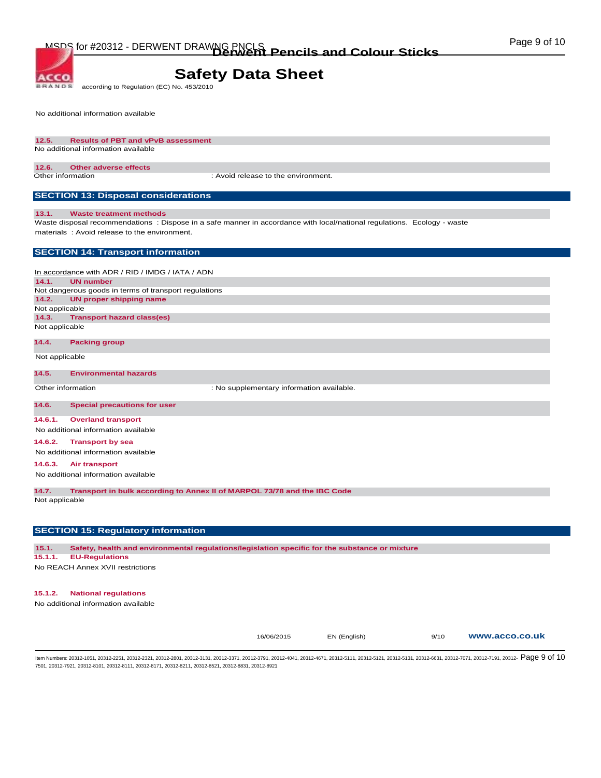# **Safety Data Sheet**

**BRANDS** according to Regulation (EC) No. 453/2010

No additional information available

**ACCO** 

#### **12.5. Results of PBT and vPvB assessment**  No additional information available

## **12.6. Other adverse effects**

Other information : Avoid release to the environment.

# **SECTION 13: Disposal considerations**

#### **13.1. Waste treatment methods**

Waste disposal recommendations : Dispose in a safe manner in accordance with local/national regulations. Ecology - waste materials : Avoid release to the environment.

## **SECTION 14: Transport information**

In accordance with ADR / RID / IMDG / IATA / ADN **14.1. UN number**  Not dangerous goods in terms of transport regulations **14.2. UN proper shipping name**  Not applicable **14.3. Transport hazard class(es)**  Not applicable

### **14.4. Packing group**

Not applicable

## **14.5. Environmental hazards**

Other information  $\qquad \qquad :$  No supplementary information available.

## **14.6. Special precautions for user**

**14.6.1. Overland transport** 

No additional information available

#### **14.6.2. Transport by sea**

No additional information available

### **14.6.3. Air transport**

No additional information available

**14.7. Transport in bulk according to Annex II of MARPOL 73/78 and the IBC Code** 

Not applicable

# **SECTION 15: Regulatory information**

**15.1. Safety, health and environmental regulations/legislation specific for the substance or mixture** 

#### **15.1.1. EU-Regulations**

No REACH Annex XVII restrictions

## **15.1.2. National regulations**

No additional information available

| 16/06/2015 |  |
|------------|--|
|------------|--|

16/06/2015 EN (English) 9/10 **www.acco.co.uk**